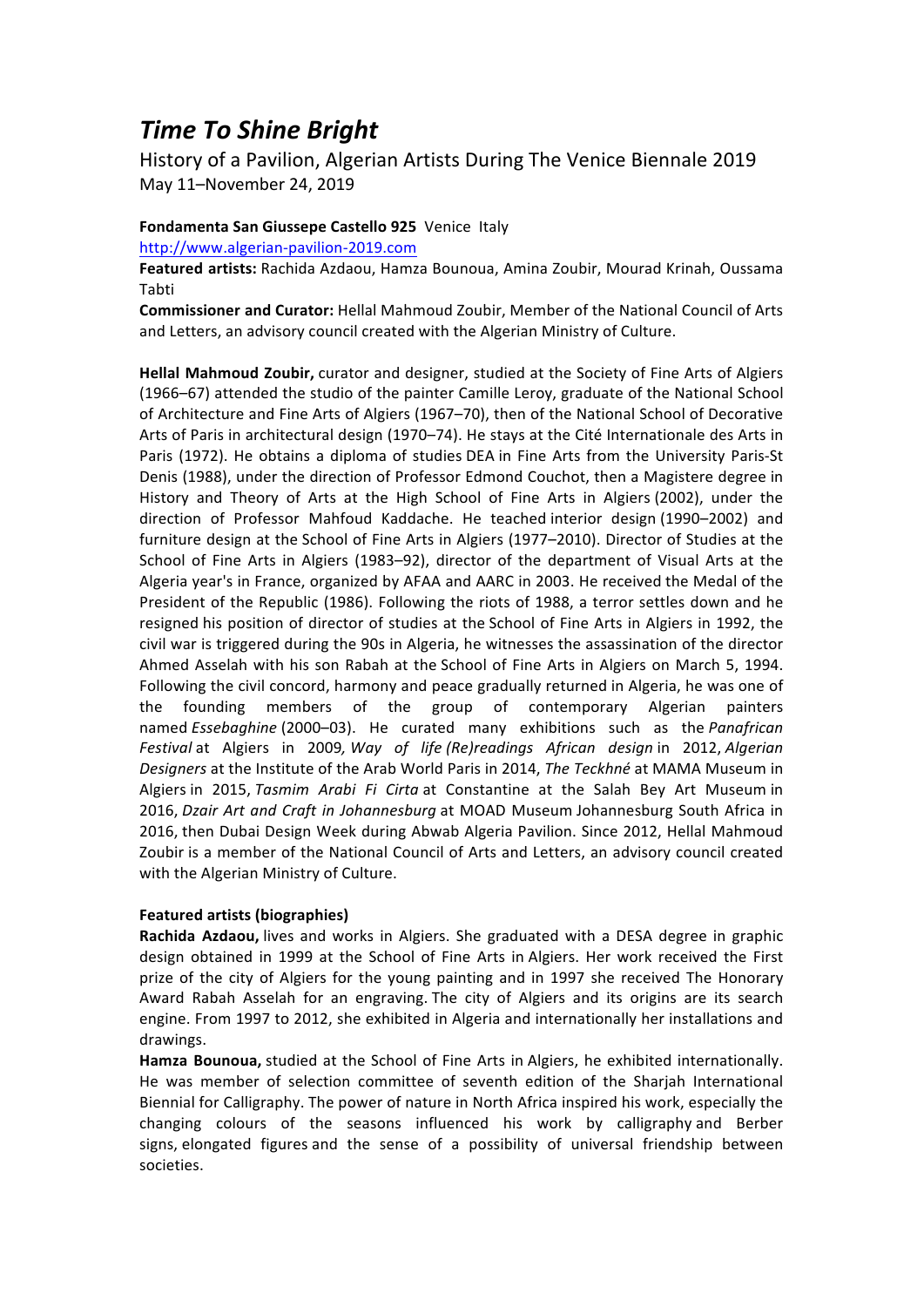## *Time To Shine Bright*

History of a Pavilion, Algerian Artists During The Venice Biennale 2019 May 11–November 24, 2019 

## **Fondamenta San Giussepe Castello 925** Venice Italy

http://www.algerian-pavilion-2019.com

Featured artists: Rachida Azdaou, Hamza Bounoua, Amina Zoubir, Mourad Krinah, Oussama Tabti 

**Commissioner and Curator:** Hellal Mahmoud Zoubir, Member of the National Council of Arts and Letters, an advisory council created with the Algerian Ministry of Culture.

**Hellal Mahmoud Zoubir,** curator and designer, studied at the Society of Fine Arts of Algiers (1966–67) attended the studio of the painter Camille Leroy, graduate of the National School of Architecture and Fine Arts of Algiers (1967–70), then of the National School of Decorative Arts of Paris in architectural design (1970–74). He stays at the Cité Internationale des Arts in Paris (1972). He obtains a diploma of studies DEA in Fine Arts from the University Paris-St Denis (1988), under the direction of Professor Edmond Couchot, then a Magistere degree in History and Theory of Arts at the High School of Fine Arts in Algiers (2002), under the direction of Professor Mahfoud Kaddache. He teached interior design (1990–2002) and furniture design at the School of Fine Arts in Algiers (1977–2010). Director of Studies at the School of Fine Arts in Algiers (1983–92), director of the department of Visual Arts at the Algeria year's in France, organized by AFAA and AARC in 2003. He received the Medal of the President of the Republic (1986). Following the riots of 1988, a terror settles down and he resigned his position of director of studies at the School of Fine Arts in Algiers in 1992, the civil war is triggered during the 90s in Algeria, he witnesses the assassination of the director Ahmed Asselah with his son Rabah at the School of Fine Arts in Algiers on March 5, 1994. Following the civil concord, harmony and peace gradually returned in Algeria, he was one of the founding members of the group of contemporary Algerian painters named *Essebaghine* (2000–03). He curated many exhibitions such as the *Panafrican Festival* at Algiers in 2009, *Way of life (Re)readings African design* in 2012, *Algerian Designers* at the Institute of the Arab World Paris in 2014, *The Teckhné* at MAMA Museum in Algiers in 2015, *Tasmim Arabi Fi Cirta* at Constantine at the Salah Bey Art Museum in 2016, *Dzair Art and Craft in Johannesburg* at MOAD Museum Johannesburg South Africa in 2016, then Dubai Design Week during Abwab Algeria Pavilion. Since 2012, Hellal Mahmoud Zoubir is a member of the National Council of Arts and Letters, an advisory council created with the Algerian Ministry of Culture.

## **Featured artists (biographies)**

**Rachida Azdaou,** lives and works in Algiers. She graduated with a DESA degree in graphic design obtained in 1999 at the School of Fine Arts in Algiers. Her work received the First prize of the city of Algiers for the young painting and in 1997 she received The Honorary Award Rabah Asselah for an engraving. The city of Algiers and its origins are its search engine. From 1997 to 2012, she exhibited in Algeria and internationally her installations and drawings.

Hamza Bounoua, studied at the School of Fine Arts in Algiers, he exhibited internationally. He was member of selection committee of seventh edition of the Sharjah International Biennial for Calligraphy. The power of nature in North Africa inspired his work, especially the changing colours of the seasons influenced his work by calligraphy and Berber signs, elongated figures and the sense of a possibility of universal friendship between societies.